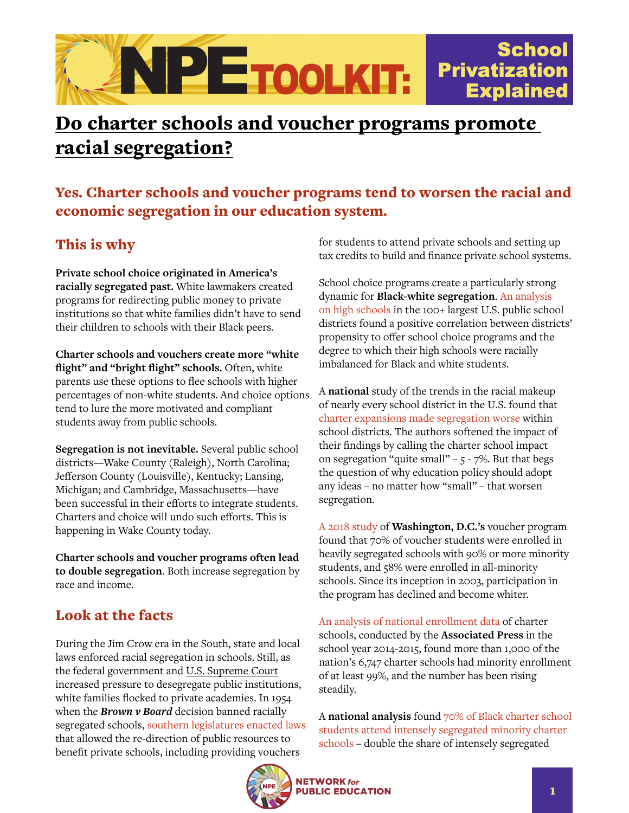

# Do charter schools and voucher programs promote racial segregation?

### Yes. Charter schools and voucher programs tend to worsen the racial and economic segregation in our education system.

## This is why

**Private school choice originated in America's racially segregated past.** White lawmakers created programs for redirecting public money to private institutions so that white families didn't have to send their children to schools with their Black peers.

**Charter schools and vouchers create more "white flight" and "bright flight" schools.** Often, white parents use these options to flee schools with higher percentages of non-white students. And choice options tend to lure the more motivated and compliant students away from public schools.

**Segregation is not inevitable.** Several public school districts—Wake County (Raleigh), North Carolina; Jefferson County (Louisville), Kentucky; Lansing, Michigan; and Cambridge, Massachusetts—have been successful in their efforts to integrate students. Charters and choice will undo such efforts. This is happening in Wake County today.

**Charter schools and voucher programs often lead to double segregation**. Both increase segregation by race and income.

## Look at the facts

During the Jim Crow era in the South, state and local laws enforced racial segregation in schools. Still, as the federal government and U.S. Supreme Court increased pressure to desegregate public institutions, white families flocked to private academies. In 1954 when the *Brown v Board* decision banned racially segregated schools, [southern legislatures enacted laws](https://southernspaces.org/2019/segregationists-libertarians-and-modern-school-choice-movement) that allowed the re-direction of public resources to benefit private schools, including providing vouchers

for students to attend private schools and setting up tax credits to build and finance private school systems.

School choice programs create a particularly strong dynamic for **Black-white segregation**. [An analysis](https://www.brookings.edu/research/new-evidence-on-school-choice-and-racially-segregated-schools/)  [on high schools](https://www.brookings.edu/research/new-evidence-on-school-choice-and-racially-segregated-schools/) in the 100+ largest U.S. public school districts found a positive correlation between districts' propensity to offer school choice programs and the degree to which their high schools were racially imbalanced for Black and white students.

A **national** study of the trends in the racial makeup of nearly every school district in the U.S. found that [charter expansions made segregation worse](https://www.chalkbeat.org/2019/7/24/21108556/do-charters-further-segregate-america-s-schools-yes-new-study-says-but-most-blame-lies-elsewhere) within school districts. The authors softened the impact of their findings by calling the charter school impact on segregation "quite small" –  $5 - 7$ %. But that begs the question of why education policy should adopt any ideas – no matter how "small" – that worsen segregation.

[A 2018 study](https://www.civilrightsproject.ucla.edu/research/k-12-education/integration-and-diversity/washington-d.c.s-voucher-program-civil-rights-implications/Levy-DC-VOUCHER-PAPER-FINAL-TO-POST-030218C.pdf) of **Washington, D.C.'s** voucher program found that 70% of voucher students were enrolled in heavily segregated schools with 90% or more minority students, and 58% were enrolled in all-minority schools. Since its inception in 2003, participation in the program has declined and become whiter.

[An analysis of national enrollment data](https://apnews.com/article/e9c25534dfd44851a5e56bd57454b4f5) of charter schools, conducted by the **Associated Press** in the school year 2014-2015, found more than 1,000 of the nation's 6,747 charter schools had minority enrollment of at least 99%, and the number has been rising steadily.

A **national analysis** found [70% of Black charter school](https://civilrightsproject.ucla.edu/research/k-12-education/integration-and-diversity/choice-without-equity-2009-report)  [students attend intensely segregated minority charter](https://civilrightsproject.ucla.edu/research/k-12-education/integration-and-diversity/choice-without-equity-2009-report)  [schools](https://civilrightsproject.ucla.edu/research/k-12-education/integration-and-diversity/choice-without-equity-2009-report) – double the share of intensely segregated